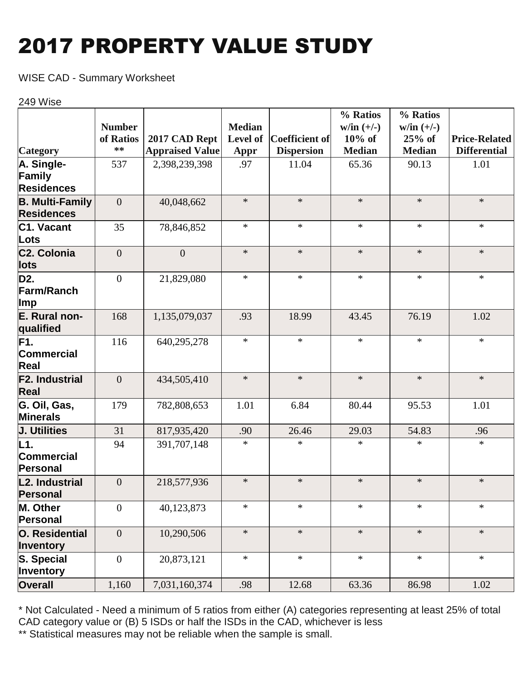# 2017 PROPERTY VALUE STUDY

WISE CAD - Summary Worksheet

#### 249 Wise

|                                             |                  |                        |               |                   | % Ratios      | % Ratios      |                      |
|---------------------------------------------|------------------|------------------------|---------------|-------------------|---------------|---------------|----------------------|
|                                             | <b>Number</b>    |                        | <b>Median</b> |                   | $w/in (+/-)$  | $w/in (+/-)$  |                      |
|                                             | of Ratios        | 2017 CAD Rept          | Level of      | Coefficient of    | $10\%$ of     | $25%$ of      | <b>Price-Related</b> |
| <b>Category</b>                             | $**$             | <b>Appraised Value</b> | Appr          | <b>Dispersion</b> | <b>Median</b> | <b>Median</b> | <b>Differential</b>  |
| A. Single-                                  | 537              | 2,398,239,398          | .97           | 11.04             | 65.36         | 90.13         | 1.01                 |
| Family                                      |                  |                        |               |                   |               |               |                      |
| <b>Residences</b>                           |                  |                        |               |                   |               |               |                      |
| <b>B. Multi-Family</b><br><b>Residences</b> | $\overline{0}$   | 40,048,662             | $\ast$        | $\ast$            | $\ast$        | $\ast$        | $\ast$               |
| C <sub>1</sub> . Vacant<br>Lots             | 35               | 78,846,852             | $\ast$        | $\ast$            | $\ast$        | $\ast$        | $\ast$               |
| C <sub>2</sub> . Colonia                    | $\overline{0}$   | $\overline{0}$         | $\ast$        | $\ast$            | $\ast$        | $\ast$        | $\ast$               |
| lots                                        |                  |                        |               |                   |               |               |                      |
| D2.<br>Farm/Ranch<br>$\mathsf{Imp}$         | $\mathbf{0}$     | 21,829,080             | $\ast$        | $\ast$            | $\ast$        | $\ast$        | $\ast$               |
| E. Rural non-<br>qualified                  | 168              | 1,135,079,037          | .93           | 18.99             | 43.45         | 76.19         | 1.02                 |
| F1.<br>Commercial<br>Real                   | 116              | 640,295,278            | $\ast$        | $\ast$            | $\ast$        | $\ast$        | $\ast$               |
| <b>F2. Industrial</b><br>Real               | $\overline{0}$   | 434,505,410            | $\ast$        | $\ast$            | $\ast$        | $\ast$        | $\ast$               |
| G. Oil, Gas,<br><b>Minerals</b>             | 179              | 782,808,653            | 1.01          | 6.84              | 80.44         | 95.53         | 1.01                 |
| J. Utilities                                | 31               | 817,935,420            | .90           | 26.46             | 29.03         | 54.83         | .96                  |
| L1.<br>Commercial<br>Personal               | 94               | 391,707,148            | $\ast$        | $\ast$            | $\ast$        | $\ast$        | $\ast$               |
| L2. Industrial<br>Personal                  | $\theta$         | 218,577,936            | $\ast$        | $\ast$            | $\ast$        | $\ast$        | $\ast$               |
| M. Other<br>Personal                        | $\overline{0}$   | 40,123,873             | $\ast$        | $\ast$            | $\ast$        | $\ast$        | $\ast$               |
| O. Residential<br>Inventory                 | $\theta$         | 10,290,506             | $\ast$        | $\ast$            | $\ast$        | $\ast$        | $\ast$               |
| S. Special<br>Inventory                     | $\boldsymbol{0}$ | 20,873,121             | $\ast$        | $\ast$            | $\ast$        | $\ast$        | $\ast$               |
| <b>Overall</b>                              | 1,160            | 7,031,160,374          | .98           | 12.68             | 63.36         | 86.98         | 1.02                 |

\* Not Calculated - Need a minimum of 5 ratios from either (A) categories representing at least 25% of total CAD category value or (B) 5 ISDs or half the ISDs in the CAD, whichever is less

\*\* Statistical measures may not be reliable when the sample is small.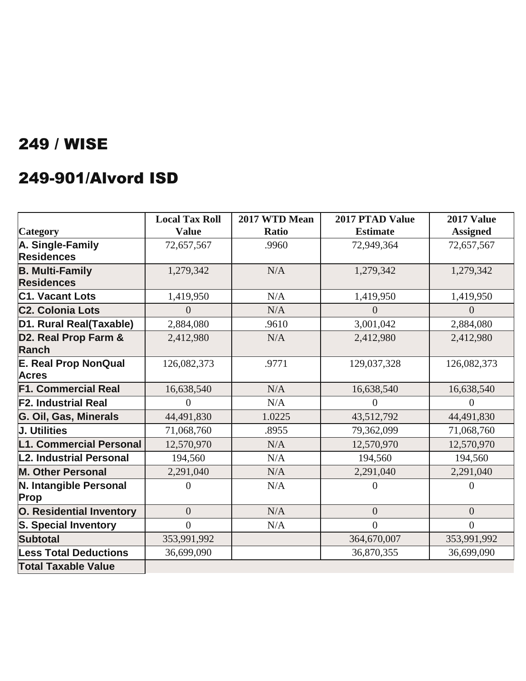#### 249-901/Alvord ISD

|                                             | <b>Local Tax Roll</b> | 2017 WTD Mean | 2017 PTAD Value | <b>2017 Value</b> |
|---------------------------------------------|-----------------------|---------------|-----------------|-------------------|
| Category                                    | <b>Value</b>          | <b>Ratio</b>  | <b>Estimate</b> | <b>Assigned</b>   |
| A. Single-Family                            | 72,657,567            | .9960         | 72,949,364      | 72,657,567        |
| <b>Residences</b>                           |                       |               |                 |                   |
| <b>B. Multi-Family</b>                      | 1,279,342             | N/A           | 1,279,342       | 1,279,342         |
| <b>Residences</b>                           |                       |               |                 |                   |
| <b>C1. Vacant Lots</b>                      | 1,419,950             | N/A           | 1,419,950       | 1,419,950         |
| <b>C2. Colonia Lots</b>                     | $\Omega$              | N/A           | $\Omega$        | $\Omega$          |
| D1. Rural Real(Taxable)                     | 2,884,080             | .9610         | 3,001,042       | 2,884,080         |
| D2. Real Prop Farm &<br><b>Ranch</b>        | 2,412,980             | N/A           | 2,412,980       | 2,412,980         |
| <b>E. Real Prop NonQual</b><br><b>Acres</b> | 126,082,373           | .9771         | 129,037,328     | 126,082,373       |
| <b>F1. Commercial Real</b>                  | 16,638,540            | N/A           | 16,638,540      | 16,638,540        |
| <b>F2. Industrial Real</b>                  | $\theta$              | N/A           | $\theta$        | $\overline{0}$    |
| G. Oil, Gas, Minerals                       | 44,491,830            | 1.0225        | 43,512,792      | 44,491,830        |
| J. Utilities                                | 71,068,760            | .8955         | 79,362,099      | 71,068,760        |
| L1. Commercial Personal                     | 12,570,970            | N/A           | 12,570,970      | 12,570,970        |
| L2. Industrial Personal                     | 194,560               | N/A           | 194,560         | 194,560           |
| <b>M. Other Personal</b>                    | 2,291,040             | N/A           | 2,291,040       | 2,291,040         |
| N. Intangible Personal<br>Prop              | $\Omega$              | N/A           | $\Omega$        | $\overline{0}$    |
| <b>O. Residential Inventory</b>             | $\overline{0}$        | N/A           | $\theta$        | $\overline{0}$    |
| <b>S. Special Inventory</b>                 | $\theta$              | N/A           | $\theta$        | $\overline{0}$    |
| <b>Subtotal</b>                             | 353,991,992           |               | 364,670,007     | 353,991,992       |
| <b>Less Total Deductions</b>                | 36,699,090            |               | 36,870,355      | 36,699,090        |
| <b>Total Taxable Value</b>                  |                       |               |                 |                   |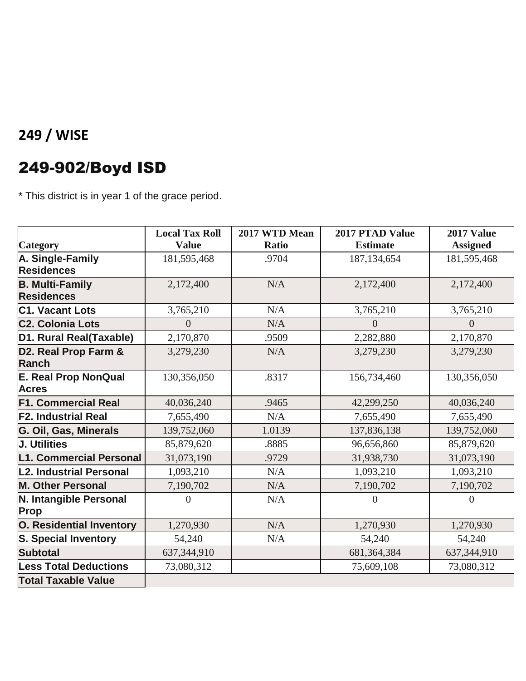## 249-902/Boyd ISD

\* This district is in year 1 of the grace period.

|                                             | <b>Local Tax Roll</b> | 2017 WTD Mean | 2017 PTAD Value | 2017 Value      |
|---------------------------------------------|-----------------------|---------------|-----------------|-----------------|
| <b>Category</b>                             | <b>Value</b>          | <b>Ratio</b>  | <b>Estimate</b> | <b>Assigned</b> |
| A. Single-Family                            | 181,595,468           | .9704         | 187, 134, 654   | 181,595,468     |
| <b>Residences</b>                           |                       |               |                 |                 |
| <b>B. Multi-Family</b>                      | 2,172,400             | N/A           | 2,172,400       | 2,172,400       |
| <b>Residences</b>                           |                       |               |                 |                 |
| <b>C1. Vacant Lots</b>                      | 3,765,210             | N/A           | 3,765,210       | 3,765,210       |
| <b>C2. Colonia Lots</b>                     | $\theta$              | N/A           | $\theta$        | $\overline{0}$  |
| D1. Rural Real(Taxable)                     | 2,170,870             | .9509         | 2,282,880       | 2,170,870       |
| D2. Real Prop Farm &<br><b>Ranch</b>        | 3,279,230             | N/A           | 3,279,230       | 3,279,230       |
| <b>E. Real Prop NonQual</b><br><b>Acres</b> | 130,356,050           | .8317         | 156,734,460     | 130,356,050     |
| <b>F1. Commercial Real</b>                  | 40,036,240            | .9465         | 42,299,250      | 40,036,240      |
| <b>F2. Industrial Real</b>                  | 7,655,490             | N/A           | 7,655,490       | 7,655,490       |
| G. Oil, Gas, Minerals                       | 139,752,060           | 1.0139        | 137,836,138     | 139,752,060     |
| J. Utilities                                | 85,879,620            | .8885         | 96,656,860      | 85,879,620      |
| L1. Commercial Personal                     | 31,073,190            | .9729         | 31,938,730      | 31,073,190      |
| L2. Industrial Personal                     | 1,093,210             | N/A           | 1,093,210       | 1,093,210       |
| <b>M. Other Personal</b>                    | 7,190,702             | N/A           | 7,190,702       | 7,190,702       |
| N. Intangible Personal<br><b>Prop</b>       | $\Omega$              | N/A           | $\Omega$        | $\theta$        |
| <b>O. Residential Inventory</b>             | 1,270,930             | N/A           | 1,270,930       | 1,270,930       |
| <b>S. Special Inventory</b>                 | 54,240                | N/A           | 54,240          | 54,240          |
| <b>Subtotal</b>                             | 637, 344, 910         |               | 681,364,384     | 637, 344, 910   |
| <b>Less Total Deductions</b>                | 73,080,312            |               | 75,609,108      | 73,080,312      |
| <b>Total Taxable Value</b>                  |                       |               |                 |                 |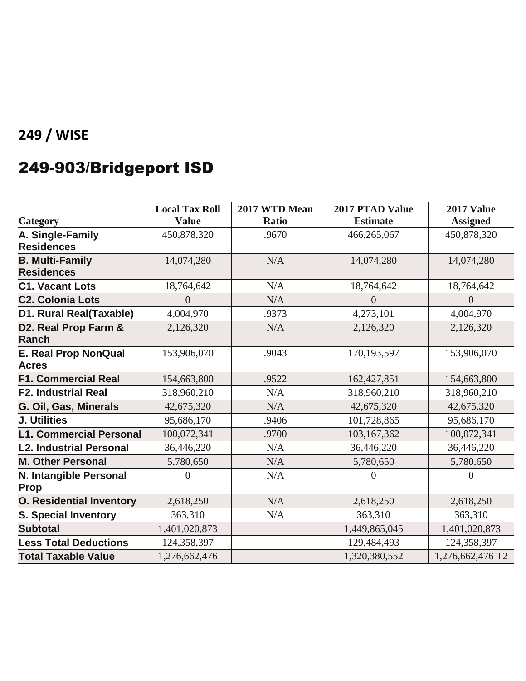# 249-903/Bridgeport ISD

|                                             | <b>Local Tax Roll</b> | 2017 WTD Mean | <b>2017 PTAD Value</b> | <b>2017 Value</b> |
|---------------------------------------------|-----------------------|---------------|------------------------|-------------------|
| Category                                    | <b>Value</b>          | <b>Ratio</b>  | <b>Estimate</b>        | <b>Assigned</b>   |
| A. Single-Family                            | 450,878,320           | .9670         | 466,265,067            | 450,878,320       |
| <b>Residences</b>                           |                       |               |                        |                   |
| <b>B. Multi-Family</b>                      | 14,074,280            | N/A           | 14,074,280             | 14,074,280        |
| <b>Residences</b>                           |                       |               |                        |                   |
| <b>C1. Vacant Lots</b>                      | 18,764,642            | N/A           | 18,764,642             | 18,764,642        |
| <b>C2. Colonia Lots</b>                     | 0                     | N/A           | $\Omega$               | $\overline{0}$    |
| D1. Rural Real(Taxable)                     | 4,004,970             | .9373         | 4,273,101              | 4,004,970         |
| D2. Real Prop Farm &<br><b>Ranch</b>        | 2,126,320             | N/A           | 2,126,320              | 2,126,320         |
| <b>E. Real Prop NonQual</b><br><b>Acres</b> | 153,906,070           | .9043         | 170,193,597            | 153,906,070       |
| <b>F1. Commercial Real</b>                  | 154,663,800           | .9522         | 162,427,851            | 154,663,800       |
| <b>F2. Industrial Real</b>                  | 318,960,210           | N/A           | 318,960,210            | 318,960,210       |
| G. Oil, Gas, Minerals                       | 42,675,320            | N/A           | 42,675,320             | 42,675,320        |
| <b>J. Utilities</b>                         | 95,686,170            | .9406         | 101,728,865            | 95,686,170        |
| L1. Commercial Personal                     | 100,072,341           | .9700         | 103,167,362            | 100,072,341       |
| L2. Industrial Personal                     | 36,446,220            | N/A           | 36,446,220             | 36,446,220        |
| <b>M. Other Personal</b>                    | 5,780,650             | N/A           | 5,780,650              | 5,780,650         |
| N. Intangible Personal<br><b>Prop</b>       | $\Omega$              | N/A           | $\Omega$               | $\theta$          |
| <b>O. Residential Inventory</b>             | 2,618,250             | N/A           | 2,618,250              | 2,618,250         |
| <b>S. Special Inventory</b>                 | 363,310               | N/A           | 363,310                | 363,310           |
| <b>Subtotal</b>                             | 1,401,020,873         |               | 1,449,865,045          | 1,401,020,873     |
| <b>Less Total Deductions</b>                | 124,358,397           |               | 129,484,493            | 124,358,397       |
| <b>Total Taxable Value</b>                  | 1,276,662,476         |               | 1,320,380,552          | 1,276,662,476 T2  |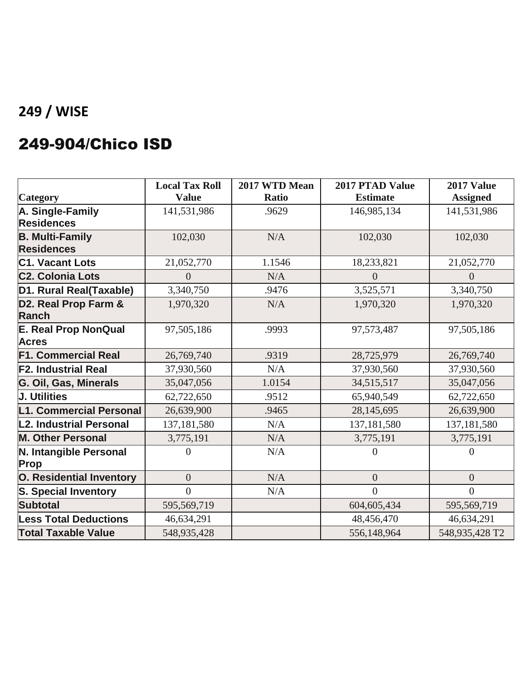#### 249-904/Chico ISD

|                                             | <b>Local Tax Roll</b> | 2017 WTD Mean | <b>2017 PTAD Value</b> | 2017 Value      |
|---------------------------------------------|-----------------------|---------------|------------------------|-----------------|
| Category                                    | <b>Value</b>          | <b>Ratio</b>  | <b>Estimate</b>        | <b>Assigned</b> |
| A. Single-Family                            | 141,531,986           | .9629         | 146,985,134            | 141,531,986     |
| <b>Residences</b>                           |                       |               |                        |                 |
| <b>B. Multi-Family</b>                      | 102,030               | N/A           | 102,030                | 102,030         |
| <b>Residences</b>                           |                       |               |                        |                 |
| <b>C1. Vacant Lots</b>                      | 21,052,770            | 1.1546        | 18,233,821             | 21,052,770      |
| <b>C2. Colonia Lots</b>                     | $\Omega$              | N/A           | $\theta$               | $\theta$        |
| D1. Rural Real(Taxable)                     | 3,340,750             | .9476         | 3,525,571              | 3,340,750       |
| D2. Real Prop Farm &<br><b>Ranch</b>        | 1,970,320             | N/A           | 1,970,320              | 1,970,320       |
| <b>E. Real Prop NonQual</b><br><b>Acres</b> | 97,505,186            | .9993         | 97,573,487             | 97,505,186      |
| <b>F1. Commercial Real</b>                  | 26,769,740            | .9319         | 28,725,979             | 26,769,740      |
| <b>F2. Industrial Real</b>                  | 37,930,560            | N/A           | 37,930,560             | 37,930,560      |
| G. Oil, Gas, Minerals                       | 35,047,056            | 1.0154        | 34,515,517             | 35,047,056      |
| J. Utilities                                | 62,722,650            | .9512         | 65,940,549             | 62,722,650      |
| <b>L1. Commercial Personal</b>              | 26,639,900            | .9465         | 28,145,695             | 26,639,900      |
| L2. Industrial Personal                     | 137,181,580           | N/A           | 137, 181, 580          | 137, 181, 580   |
| <b>M. Other Personal</b>                    | 3,775,191             | N/A           | 3,775,191              | 3,775,191       |
| N. Intangible Personal<br>Prop              | $\Omega$              | N/A           | 0                      | $\Omega$        |
| <b>O. Residential Inventory</b>             | $\overline{0}$        | N/A           | $\overline{0}$         | $\overline{0}$  |
| <b>S. Special Inventory</b>                 | $\overline{0}$        | N/A           | $\theta$               | $\theta$        |
| <b>Subtotal</b>                             | 595,569,719           |               | 604,605,434            | 595,569,719     |
| <b>Less Total Deductions</b>                | 46,634,291            |               | 48,456,470             | 46,634,291      |
| <b>Total Taxable Value</b>                  | 548,935,428           |               | 556,148,964            | 548,935,428 T2  |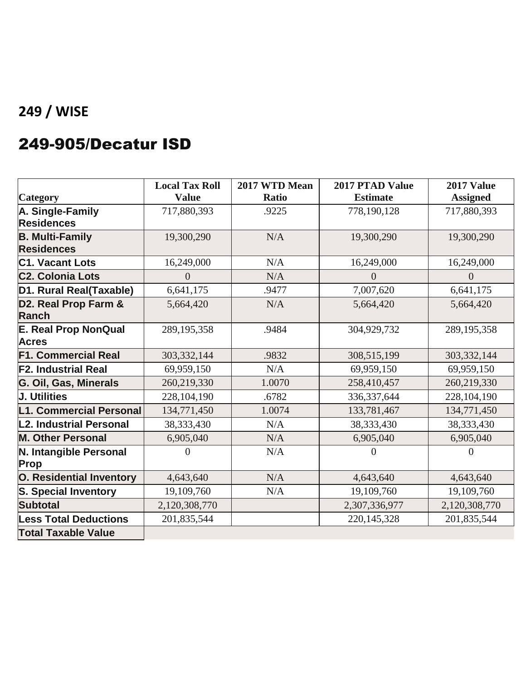### 249-905/Decatur ISD

|                                 | <b>Local Tax Roll</b> | 2017 WTD Mean | 2017 PTAD Value | 2017 Value      |
|---------------------------------|-----------------------|---------------|-----------------|-----------------|
| <b>Category</b>                 | <b>Value</b>          | <b>Ratio</b>  | <b>Estimate</b> | <b>Assigned</b> |
| A. Single-Family                | 717,880,393           | .9225         | 778,190,128     | 717,880,393     |
| <b>Residences</b>               |                       |               |                 |                 |
| <b>B. Multi-Family</b>          | 19,300,290            | N/A           | 19,300,290      | 19,300,290      |
| <b>Residences</b>               |                       |               |                 |                 |
| <b>C1. Vacant Lots</b>          | 16,249,000            | N/A           | 16,249,000      | 16,249,000      |
| <b>C2. Colonia Lots</b>         | $\overline{0}$        | N/A           | $\theta$        | $\theta$        |
| D1. Rural Real(Taxable)         | 6,641,175             | .9477         | 7,007,620       | 6,641,175       |
| D2. Real Prop Farm &            | 5,664,420             | N/A           | 5,664,420       | 5,664,420       |
| <b>Ranch</b>                    |                       |               |                 |                 |
| <b>E. Real Prop NonQual</b>     | 289, 195, 358         | .9484         | 304,929,732     | 289, 195, 358   |
| <b>Acres</b>                    |                       |               |                 |                 |
| <b>F1. Commercial Real</b>      | 303,332,144           | .9832         | 308,515,199     | 303, 332, 144   |
| <b>F2. Industrial Real</b>      | 69,959,150            | N/A           | 69,959,150      | 69,959,150      |
| G. Oil, Gas, Minerals           | 260,219,330           | 1.0070        | 258,410,457     | 260,219,330     |
| <b>J. Utilities</b>             | 228, 104, 190         | .6782         | 336, 337, 644   | 228,104,190     |
| <b>L1. Commercial Personal</b>  | 134,771,450           | 1.0074        | 133,781,467     | 134,771,450     |
| L2. Industrial Personal         | 38, 333, 430          | N/A           | 38,333,430      | 38,333,430      |
| <b>M. Other Personal</b>        | 6,905,040             | N/A           | 6,905,040       | 6,905,040       |
| N. Intangible Personal          | $\theta$              | N/A           | $\Omega$        | $\theta$        |
| Prop                            |                       |               |                 |                 |
| <b>O. Residential Inventory</b> | 4,643,640             | N/A           | 4,643,640       | 4,643,640       |
| <b>S. Special Inventory</b>     | 19,109,760            | N/A           | 19,109,760      | 19,109,760      |
| <b>Subtotal</b>                 | 2,120,308,770         |               | 2,307,336,977   | 2,120,308,770   |
| <b>Less Total Deductions</b>    | 201,835,544           |               | 220, 145, 328   | 201,835,544     |
| <b>Total Taxable Value</b>      |                       |               |                 |                 |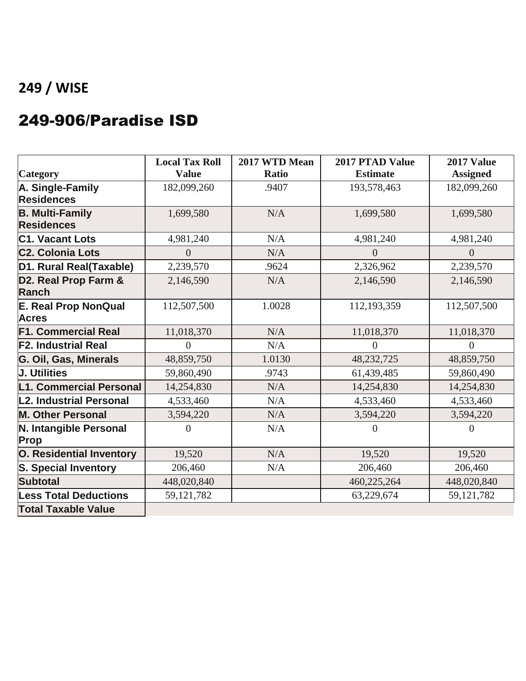#### 249-906/Paradise ISD

| <b>Category</b>                             | <b>Local Tax Roll</b><br><b>Value</b> | 2017 WTD Mean<br>Ratio | 2017 PTAD Value<br><b>Estimate</b> | 2017 Value<br><b>Assigned</b> |
|---------------------------------------------|---------------------------------------|------------------------|------------------------------------|-------------------------------|
| A. Single-Family                            | 182,099,260                           | .9407                  | 193,578,463                        | 182,099,260                   |
| <b>Residences</b>                           |                                       |                        |                                    |                               |
| <b>B. Multi-Family</b><br><b>Residences</b> | 1,699,580                             | N/A                    | 1,699,580                          | 1,699,580                     |
| <b>C1. Vacant Lots</b>                      | 4,981,240                             | N/A                    | 4,981,240                          | 4,981,240                     |
| <b>C2. Colonia Lots</b>                     | $\theta$                              | N/A                    | $\overline{0}$                     | $\overline{0}$                |
| D1. Rural Real(Taxable)                     | 2,239,570                             | .9624                  | 2,326,962                          | 2,239,570                     |
| D2. Real Prop Farm &<br><b>Ranch</b>        | 2,146,590                             | N/A                    | 2,146,590                          | 2,146,590                     |
| <b>E. Real Prop NonQual</b><br><b>Acres</b> | 112,507,500                           | 1.0028                 | 112,193,359                        | 112,507,500                   |
| <b>F1. Commercial Real</b>                  | 11,018,370                            | N/A                    | 11,018,370                         | 11,018,370                    |
| <b>F2. Industrial Real</b>                  | $\overline{0}$                        | N/A                    | $\overline{0}$                     | $\overline{0}$                |
| G. Oil, Gas, Minerals                       | 48,859,750                            | 1.0130                 | 48,232,725                         | 48,859,750                    |
| <b>J. Utilities</b>                         | 59,860,490                            | .9743                  | 61,439,485                         | 59,860,490                    |
| L1. Commercial Personal                     | 14,254,830                            | N/A                    | 14,254,830                         | 14,254,830                    |
| L2. Industrial Personal                     | 4,533,460                             | N/A                    | 4,533,460                          | 4,533,460                     |
| <b>M. Other Personal</b>                    | 3,594,220                             | N/A                    | 3,594,220                          | 3,594,220                     |
| N. Intangible Personal<br><b>Prop</b>       | $\Omega$                              | N/A                    | $\Omega$                           | $\theta$                      |
| <b>O. Residential Inventory</b>             | 19,520                                | N/A                    | 19,520                             | 19,520                        |
| <b>S. Special Inventory</b>                 | 206,460                               | N/A                    | 206,460                            | 206,460                       |
| <b>Subtotal</b>                             | 448,020,840                           |                        | 460,225,264                        | 448,020,840                   |
| <b>Less Total Deductions</b>                | 59,121,782                            |                        | 63,229,674                         | 59, 121, 782                  |
| <b>Total Taxable Value</b>                  |                                       |                        |                                    |                               |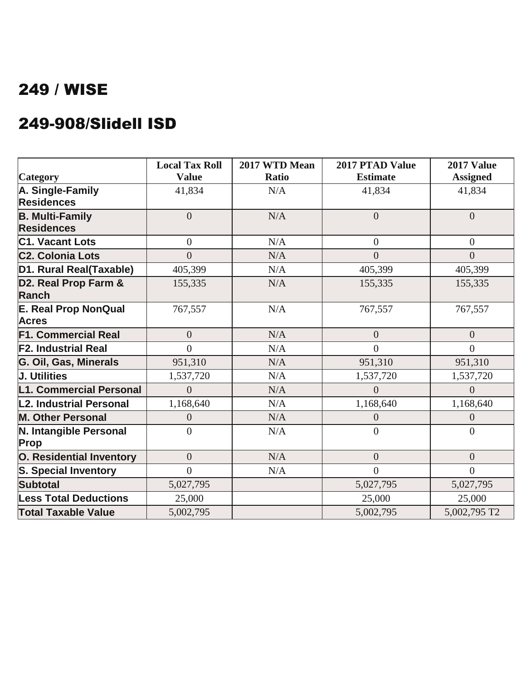#### 249-908/Slidell ISD

|                                             | <b>Local Tax Roll</b> | 2017 WTD Mean | 2017 PTAD Value | 2017 Value      |
|---------------------------------------------|-----------------------|---------------|-----------------|-----------------|
| Category                                    | <b>Value</b>          | <b>Ratio</b>  | <b>Estimate</b> | <b>Assigned</b> |
| A. Single-Family                            | 41,834                | N/A           | 41,834          | 41,834          |
| <b>Residences</b>                           |                       |               |                 |                 |
| <b>B. Multi-Family</b>                      | $\overline{0}$        | N/A           | $\overline{0}$  | $\overline{0}$  |
| <b>Residences</b>                           |                       |               |                 |                 |
| <b>C1. Vacant Lots</b>                      | $\overline{0}$        | N/A           | $\overline{0}$  | $\overline{0}$  |
| <b>C<sub>2</sub>. Colonia Lots</b>          | $\theta$              | N/A           | $\Omega$        | $\theta$        |
| D1. Rural Real(Taxable)                     | 405,399               | N/A           | 405,399         | 405,399         |
| D2. Real Prop Farm &<br><b>Ranch</b>        | 155,335               | N/A           | 155,335         | 155,335         |
| <b>E. Real Prop NonQual</b><br><b>Acres</b> | 767,557               | N/A           | 767,557         | 767,557         |
| <b>F1. Commercial Real</b>                  | $\overline{0}$        | N/A           | $\overline{0}$  | $\overline{0}$  |
| <b>F2. Industrial Real</b>                  | $\Omega$              | N/A           | $\Omega$        | $\overline{0}$  |
| G. Oil, Gas, Minerals                       | 951,310               | N/A           | 951,310         | 951,310         |
| <b>J. Utilities</b>                         | 1,537,720             | N/A           | 1,537,720       | 1,537,720       |
| L1. Commercial Personal                     | 0                     | N/A           | 0               | $\overline{0}$  |
| L2. Industrial Personal                     | 1,168,640             | N/A           | 1,168,640       | 1,168,640       |
| <b>M. Other Personal</b>                    | 0                     | N/A           | 0               | $\overline{0}$  |
| N. Intangible Personal<br>Prop              | $\Omega$              | N/A           | $\Omega$        | $\theta$        |
| <b>O. Residential Inventory</b>             | $\overline{0}$        | N/A           | $\overline{0}$  | $\overline{0}$  |
| <b>S. Special Inventory</b>                 | $\theta$              | N/A           | $\Omega$        | $\overline{0}$  |
| <b>Subtotal</b>                             | 5,027,795             |               | 5,027,795       | 5,027,795       |
| <b>Less Total Deductions</b>                | 25,000                |               | 25,000          | 25,000          |
| <b>Total Taxable Value</b>                  | 5,002,795             |               | 5,002,795       | 5,002,795 T2    |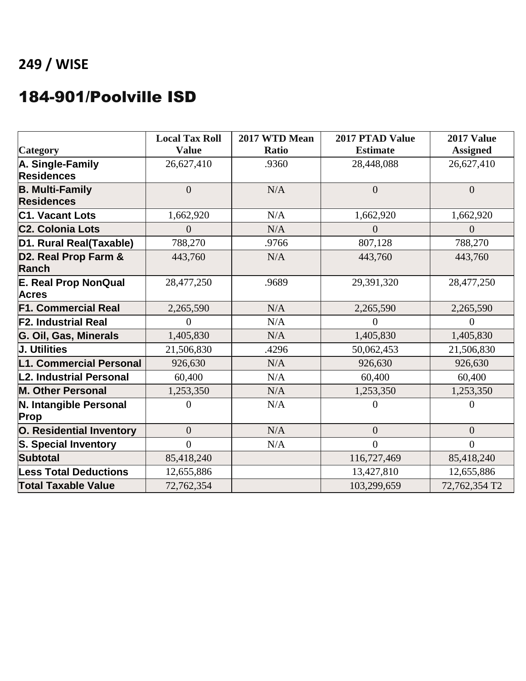#### 184-901/Poolville ISD

|                                             | <b>Local Tax Roll</b> | 2017 WTD Mean | 2017 PTAD Value | 2017 Value      |
|---------------------------------------------|-----------------------|---------------|-----------------|-----------------|
| <b>Category</b>                             | <b>Value</b>          | <b>Ratio</b>  | <b>Estimate</b> | <b>Assigned</b> |
| A. Single-Family                            | 26,627,410            | .9360         | 28,448,088      | 26,627,410      |
| <b>Residences</b>                           |                       |               |                 |                 |
| <b>B. Multi-Family</b>                      | $\overline{0}$        | N/A           | $\overline{0}$  | $\overline{0}$  |
| <b>Residences</b>                           |                       |               |                 |                 |
| <b>C1. Vacant Lots</b>                      | 1,662,920             | N/A           | 1,662,920       | 1,662,920       |
| <b>C2. Colonia Lots</b>                     | $\Omega$              | N/A           | $\overline{0}$  | $\theta$        |
| D1. Rural Real(Taxable)                     | 788,270               | .9766         | 807,128         | 788,270         |
| D2. Real Prop Farm &<br><b>Ranch</b>        | 443,760               | N/A           | 443,760         | 443,760         |
| <b>E. Real Prop NonQual</b><br><b>Acres</b> | 28,477,250            | .9689         | 29,391,320      | 28,477,250      |
| <b>F1. Commercial Real</b>                  | 2,265,590             | N/A           | 2,265,590       | 2,265,590       |
| <b>F2. Industrial Real</b>                  | 0                     | N/A           | 0               | $\theta$        |
| G. Oil, Gas, Minerals                       | 1,405,830             | N/A           | 1,405,830       | 1,405,830       |
| <b>J. Utilities</b>                         | 21,506,830            | .4296         | 50,062,453      | 21,506,830      |
| L1. Commercial Personal                     | 926,630               | N/A           | 926,630         | 926,630         |
| L2. Industrial Personal                     | 60,400                | N/A           | 60,400          | 60,400          |
| <b>M. Other Personal</b>                    | 1,253,350             | N/A           | 1,253,350       | 1,253,350       |
| N. Intangible Personal<br>Prop              | $\Omega$              | N/A           | $\theta$        | $\Omega$        |
| O. Residential Inventory                    | $\overline{0}$        | N/A           | $\overline{0}$  | $\overline{0}$  |
| <b>S. Special Inventory</b>                 | $\theta$              | N/A           | $\Omega$        | $\theta$        |
| <b>Subtotal</b>                             | 85,418,240            |               | 116,727,469     | 85,418,240      |
| <b>Less Total Deductions</b>                | 12,655,886            |               | 13,427,810      | 12,655,886      |
| <b>Total Taxable Value</b>                  | 72,762,354            |               | 103,299,659     | 72,762,354 T2   |